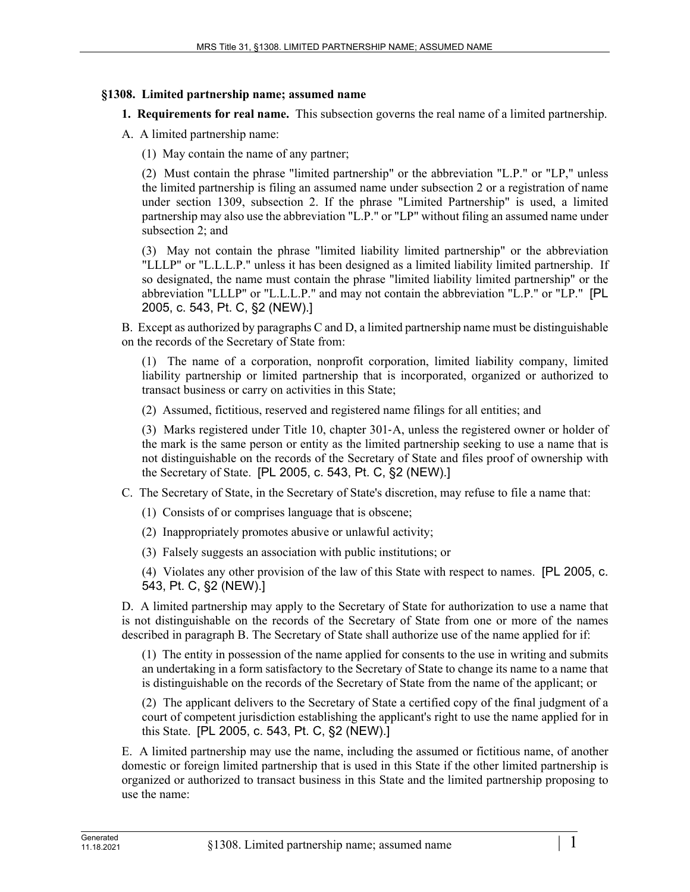## **§1308. Limited partnership name; assumed name**

**1. Requirements for real name.** This subsection governs the real name of a limited partnership.

- A. A limited partnership name:
	- (1) May contain the name of any partner;

(2) Must contain the phrase "limited partnership" or the abbreviation "L.P." or "LP," unless the limited partnership is filing an assumed name under subsection 2 or a registration of name under section 1309, subsection 2. If the phrase "Limited Partnership" is used, a limited partnership may also use the abbreviation "L.P." or "LP" without filing an assumed name under subsection 2; and

(3) May not contain the phrase "limited liability limited partnership" or the abbreviation "LLLP" or "L.L.L.P." unless it has been designed as a limited liability limited partnership. If so designated, the name must contain the phrase "limited liability limited partnership" or the abbreviation "LLLP" or "L.L.L.P." and may not contain the abbreviation "L.P." or "LP." [PL 2005, c. 543, Pt. C, §2 (NEW).]

B. Except as authorized by paragraphs C and D, a limited partnership name must be distinguishable on the records of the Secretary of State from:

(1) The name of a corporation, nonprofit corporation, limited liability company, limited liability partnership or limited partnership that is incorporated, organized or authorized to transact business or carry on activities in this State;

(2) Assumed, fictitious, reserved and registered name filings for all entities; and

(3) Marks registered under Title 10, chapter 301‑A, unless the registered owner or holder of the mark is the same person or entity as the limited partnership seeking to use a name that is not distinguishable on the records of the Secretary of State and files proof of ownership with the Secretary of State. [PL 2005, c. 543, Pt. C, §2 (NEW).]

C. The Secretary of State, in the Secretary of State's discretion, may refuse to file a name that:

- (1) Consists of or comprises language that is obscene;
- (2) Inappropriately promotes abusive or unlawful activity;
- (3) Falsely suggests an association with public institutions; or

(4) Violates any other provision of the law of this State with respect to names. [PL 2005, c. 543, Pt. C, §2 (NEW).]

D. A limited partnership may apply to the Secretary of State for authorization to use a name that is not distinguishable on the records of the Secretary of State from one or more of the names described in paragraph B. The Secretary of State shall authorize use of the name applied for if:

(1) The entity in possession of the name applied for consents to the use in writing and submits an undertaking in a form satisfactory to the Secretary of State to change its name to a name that is distinguishable on the records of the Secretary of State from the name of the applicant; or

(2) The applicant delivers to the Secretary of State a certified copy of the final judgment of a court of competent jurisdiction establishing the applicant's right to use the name applied for in this State. [PL 2005, c. 543, Pt. C, §2 (NEW).]

E. A limited partnership may use the name, including the assumed or fictitious name, of another domestic or foreign limited partnership that is used in this State if the other limited partnership is organized or authorized to transact business in this State and the limited partnership proposing to use the name: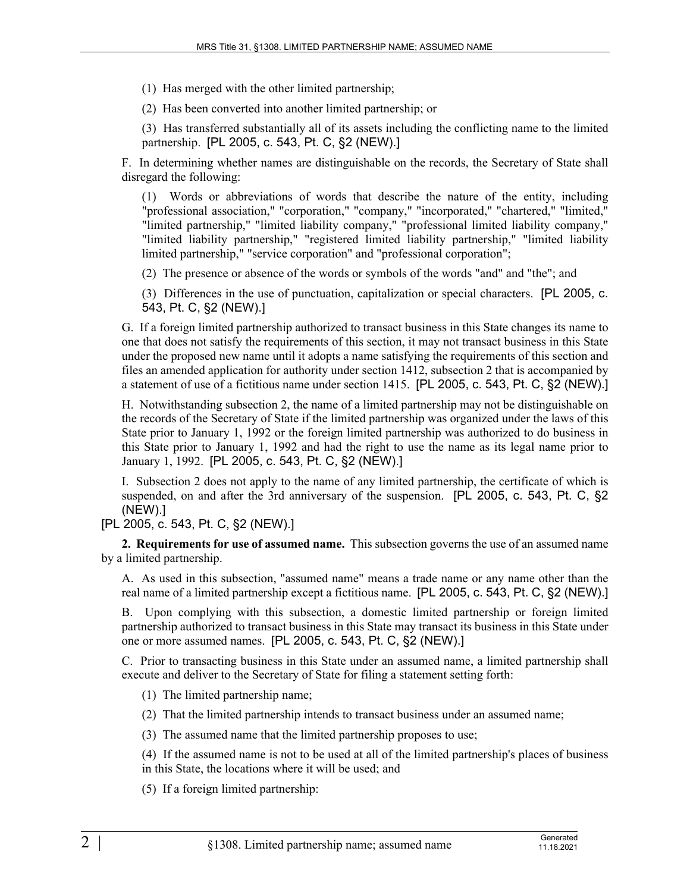(1) Has merged with the other limited partnership;

(2) Has been converted into another limited partnership; or

(3) Has transferred substantially all of its assets including the conflicting name to the limited partnership. [PL 2005, c. 543, Pt. C, §2 (NEW).]

F. In determining whether names are distinguishable on the records, the Secretary of State shall disregard the following:

(1) Words or abbreviations of words that describe the nature of the entity, including "professional association," "corporation," "company," "incorporated," "chartered," "limited," "limited partnership," "limited liability company," "professional limited liability company," "limited liability partnership," "registered limited liability partnership," "limited liability limited partnership," "service corporation" and "professional corporation";

(2) The presence or absence of the words or symbols of the words "and" and "the"; and

(3) Differences in the use of punctuation, capitalization or special characters. [PL 2005, c. 543, Pt. C, §2 (NEW).]

G. If a foreign limited partnership authorized to transact business in this State changes its name to one that does not satisfy the requirements of this section, it may not transact business in this State under the proposed new name until it adopts a name satisfying the requirements of this section and files an amended application for authority under section 1412, subsection 2 that is accompanied by a statement of use of a fictitious name under section 1415. [PL 2005, c. 543, Pt. C, §2 (NEW).]

H. Notwithstanding subsection 2, the name of a limited partnership may not be distinguishable on the records of the Secretary of State if the limited partnership was organized under the laws of this State prior to January 1, 1992 or the foreign limited partnership was authorized to do business in this State prior to January 1, 1992 and had the right to use the name as its legal name prior to January 1, 1992. [PL 2005, c. 543, Pt. C, §2 (NEW).]

I. Subsection 2 does not apply to the name of any limited partnership, the certificate of which is suspended, on and after the 3rd anniversary of the suspension. [PL 2005, c. 543, Pt. C, §2 (NEW).]

[PL 2005, c. 543, Pt. C, §2 (NEW).]

**2. Requirements for use of assumed name.** This subsection governs the use of an assumed name by a limited partnership.

A. As used in this subsection, "assumed name" means a trade name or any name other than the real name of a limited partnership except a fictitious name. [PL 2005, c. 543, Pt. C, §2 (NEW).]

B. Upon complying with this subsection, a domestic limited partnership or foreign limited partnership authorized to transact business in this State may transact its business in this State under one or more assumed names. [PL 2005, c. 543, Pt. C, §2 (NEW).]

C. Prior to transacting business in this State under an assumed name, a limited partnership shall execute and deliver to the Secretary of State for filing a statement setting forth:

(1) The limited partnership name;

(2) That the limited partnership intends to transact business under an assumed name;

(3) The assumed name that the limited partnership proposes to use;

(4) If the assumed name is not to be used at all of the limited partnership's places of business in this State, the locations where it will be used; and

(5) If a foreign limited partnership: